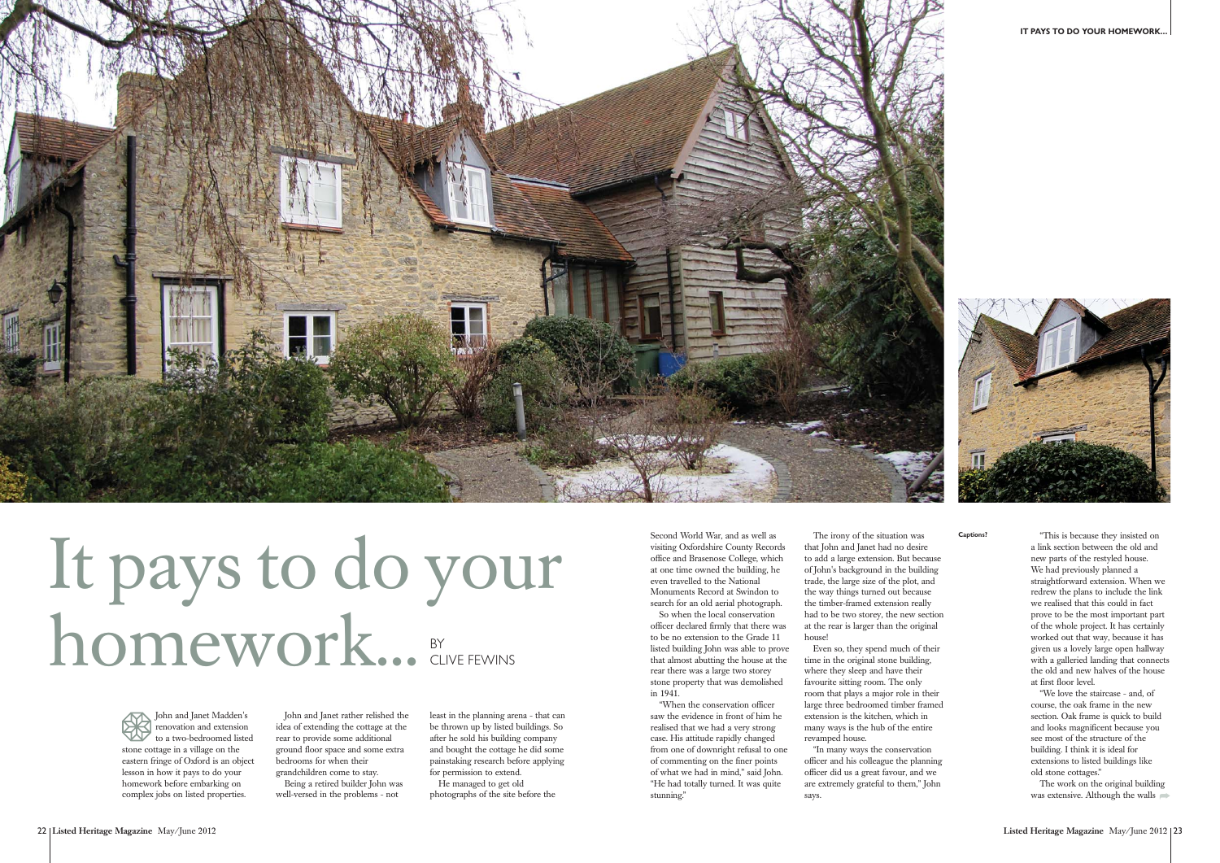John and Janet Madden's renovation and extension to a two-bedroomed listed stone cottage in a village on the eastern fringe of Oxford is an object lesson in how it pays to do your homework before embarking on complex jobs on listed properties.





Second World War, and as well as visiting Oxfordshire County Records office and Brasenose College, which at one time owned the building, he even travelled to the National Monuments Record at Swindon to

search for an old aerial photograph. So when the local conservation officer declared firmly that there was to be no extension to the Grade 11 listed building John was able to prove that almost abutting the house at the rear there was a large two storey stone property that was demolished in 1941.

"When the conservation officer saw the evidence in front of him he realised that we had a very strong case. His attitude rapidly changed from one of downright refusal to one of commenting on the finer points of what we had in mind," said John. "He had totally turned. It was quite stunning."

The work on the original building was extensive. Although the walls

The irony of the situation was that John and Janet had no desire to add a large extension. But because of John's background in the building trade, the large size of the plot, and the way things turned out because the timber-framed extension really had to be two storey, the new section at the rear is larger than the original house! Even so, they spend much of their time in the original stone building,

where they sleep and have their favourite sitting room. The only room that plays a major role in their large three bedroomed timber framed extension is the kitchen, which in many ways is the hub of the entire revamped house.

"In many ways the conservation officer and his colleague the planning officer did us a great favour, and we are extremely grateful to them," John says.

**Captions?** "This is because they insisted on a link section between the old and new parts of the restyled house. We had previously planned a straightforward extension. When we redrew the plans to include the link we realised that this could in fact prove to be the most important part of the whole project. It has certainly worked out that way, because it has <sup>g</sup>iven us a lovely large open hallway with a galleried landing that connects the old and new halves of the house at first floor level.

> "We love the staircase - and, of course, the oak frame in the new section. Oak frame is quick to build and looks magnificent because you see most of the structure of the building. I think it is ideal for extensions to listed buildings like old stone cottages."

John and Janet rather relished the idea of extending the cottage at the rear to provide some additional ground floor space and some extra bedrooms for when their grandchildren come to stay.

Being a retired builder John was well-versed in the problems - not



## It pays to do your homework... BY CLIVE FEWINS

least in the planning arena - that can be thrown up by listed buildings. So after he sold his building company and bought the cottage he did some painstaking research before applying for permission to extend.

He managed to get old photographs of the site before the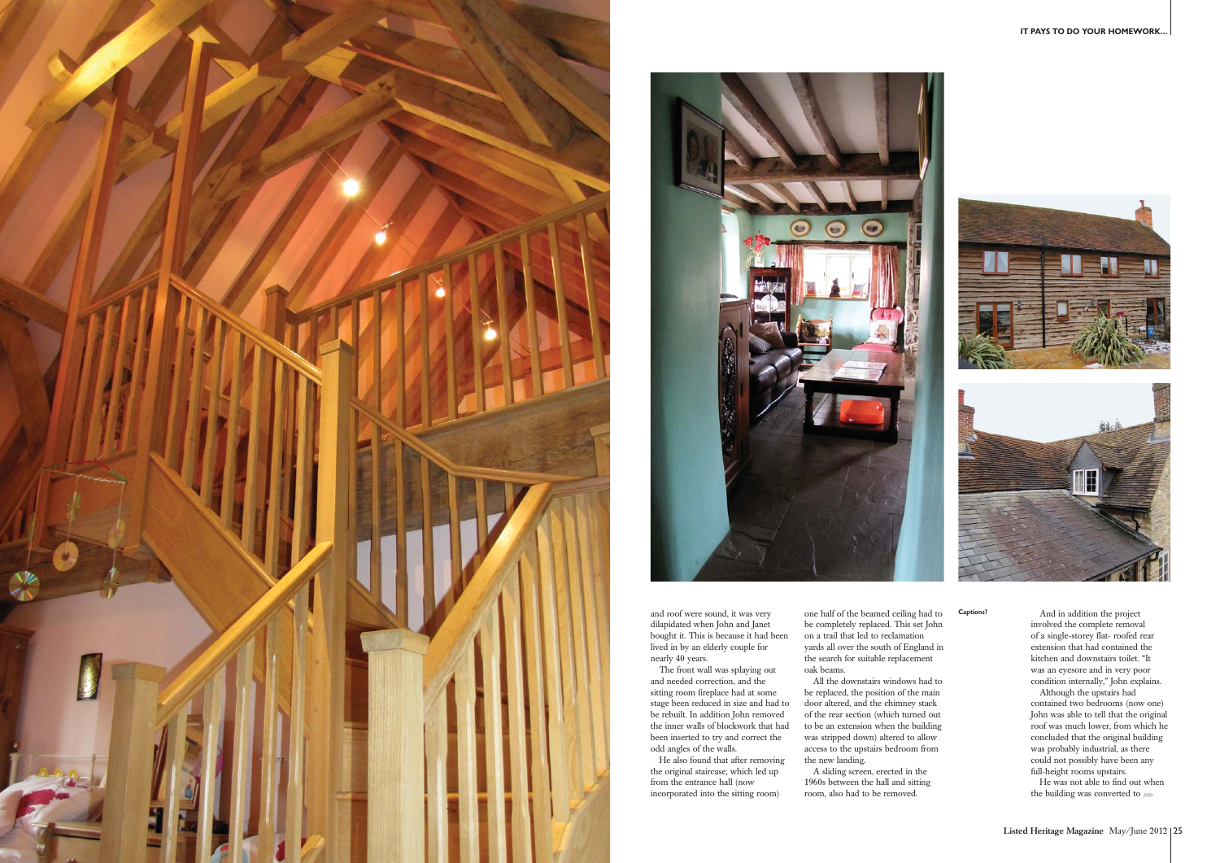



and roof were sound, it was very dilapidated when John and Janet bought it. This is because it had been lived in by an elderly couple for nearly 40 years.

The front wall was splaying out and needed correction, and the sitting room fireplace had at some stage been reduced in size and had to be rebuilt. In addition John removed the inner walls of blockwork that had been inserted to try and correct the odd angles of the walls.

He also found that after removing the original staircase, which led up from the entrance hall (now incorporated into the sitting room)

one half of the beamed ceiling had to be completely replaced. This set John on a trail that led to reclamation yards all over the south of England in the search for suitable replacement oak beams.

**Captions?** And in addition the project involved the complete removal of a single-storey flat- roofed rear extension that had contained the kitchen and downstairs toilet. "It was an eyesore and in very poor condition internally," John explains.

> the building was converted to  $\implies$ He was not able to find out when

All the downstairs windows had to be replaced, the position of the main door altered, and the chimney stack of the rear section (which turned out to be an extension when the building was stripped down) altered to allow access to the upstairs bedroom from the new landing.

A sliding screen, erected in the 1960s between the hall and sitting room, also had to be removed.

Although the upstairs had contained two bedrooms (now one) John was able to tell that the original roof was much lower, from which he concluded that the original building was probably industrial, as there could not possibly have been any full-height rooms upstairs.